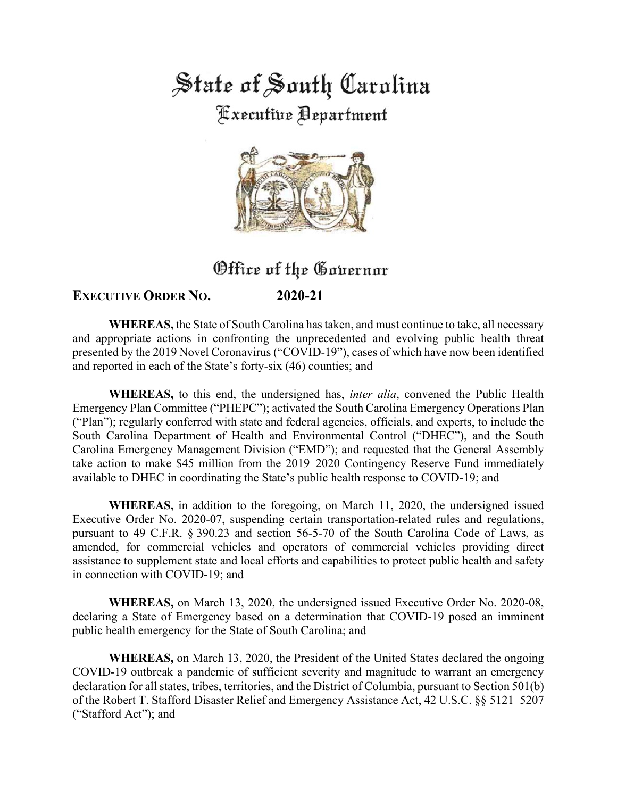State of South Carolina **Executive Department** 



# Office of the Governor

## **EXECUTIVE ORDER NO. 2020-21**

**WHEREAS,** the State of South Carolina has taken, and must continue to take, all necessary and appropriate actions in confronting the unprecedented and evolving public health threat presented by the 2019 Novel Coronavirus ("COVID-19"), cases of which have now been identified and reported in each of the State's forty-six (46) counties; and

**WHEREAS,** to this end, the undersigned has, *inter alia*, convened the Public Health Emergency Plan Committee ("PHEPC"); activated the South Carolina Emergency Operations Plan ("Plan"); regularly conferred with state and federal agencies, officials, and experts, to include the South Carolina Department of Health and Environmental Control ("DHEC"), and the South Carolina Emergency Management Division ("EMD"); and requested that the General Assembly take action to make \$45 million from the 2019–2020 Contingency Reserve Fund immediately available to DHEC in coordinating the State's public health response to COVID-19; and

**WHEREAS,** in addition to the foregoing, on March 11, 2020, the undersigned issued Executive Order No. 2020-07, suspending certain transportation-related rules and regulations, pursuant to 49 C.F.R. § 390.23 and section 56-5-70 of the South Carolina Code of Laws, as amended, for commercial vehicles and operators of commercial vehicles providing direct assistance to supplement state and local efforts and capabilities to protect public health and safety in connection with COVID-19; and

**WHEREAS,** on March 13, 2020, the undersigned issued Executive Order No. 2020-08, declaring a State of Emergency based on a determination that COVID-19 posed an imminent public health emergency for the State of South Carolina; and

**WHEREAS,** on March 13, 2020, the President of the United States declared the ongoing COVID-19 outbreak a pandemic of sufficient severity and magnitude to warrant an emergency declaration for all states, tribes, territories, and the District of Columbia, pursuant to Section 501(b) of the Robert T. Stafford Disaster Relief and Emergency Assistance Act, 42 U.S.C. §§ 5121–5207 ("Stafford Act"); and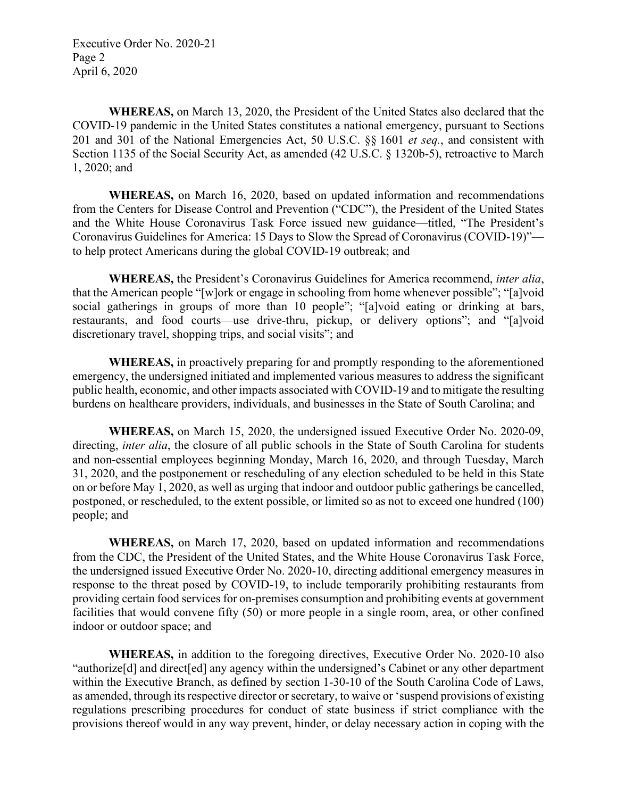Executive Order No. 2020-21 Page 2 April 6, 2020

**WHEREAS,** on March 13, 2020, the President of the United States also declared that the COVID-19 pandemic in the United States constitutes a national emergency, pursuant to Sections 201 and 301 of the National Emergencies Act, 50 U.S.C. §§ 1601 *et seq.*, and consistent with Section 1135 of the Social Security Act, as amended (42 U.S.C. § 1320b-5), retroactive to March 1, 2020; and

**WHEREAS,** on March 16, 2020, based on updated information and recommendations from the Centers for Disease Control and Prevention ("CDC"), the President of the United States and the White House Coronavirus Task Force issued new guidance—titled, "The President's Coronavirus Guidelines for America: 15 Days to Slow the Spread of Coronavirus (COVID-19)" to help protect Americans during the global COVID-19 outbreak; and

**WHEREAS,** the President's Coronavirus Guidelines for America recommend, *inter alia*, that the American people "[w]ork or engage in schooling from home whenever possible"; "[a]void social gatherings in groups of more than 10 people"; "[a]void eating or drinking at bars, restaurants, and food courts—use drive-thru, pickup, or delivery options"; and "[a]void discretionary travel, shopping trips, and social visits"; and

**WHEREAS,** in proactively preparing for and promptly responding to the aforementioned emergency, the undersigned initiated and implemented various measures to address the significant public health, economic, and other impacts associated with COVID-19 and to mitigate the resulting burdens on healthcare providers, individuals, and businesses in the State of South Carolina; and

**WHEREAS,** on March 15, 2020, the undersigned issued Executive Order No. 2020-09, directing, *inter alia*, the closure of all public schools in the State of South Carolina for students and non-essential employees beginning Monday, March 16, 2020, and through Tuesday, March 31, 2020, and the postponement or rescheduling of any election scheduled to be held in this State on or before May 1, 2020, as well as urging that indoor and outdoor public gatherings be cancelled, postponed, or rescheduled, to the extent possible, or limited so as not to exceed one hundred (100) people; and

**WHEREAS,** on March 17, 2020, based on updated information and recommendations from the CDC, the President of the United States, and the White House Coronavirus Task Force, the undersigned issued Executive Order No. 2020-10, directing additional emergency measures in response to the threat posed by COVID-19, to include temporarily prohibiting restaurants from providing certain food services for on-premises consumption and prohibiting events at government facilities that would convene fifty (50) or more people in a single room, area, or other confined indoor or outdoor space; and

**WHEREAS,** in addition to the foregoing directives, Executive Order No. 2020-10 also "authorize[d] and direct[ed] any agency within the undersigned's Cabinet or any other department within the Executive Branch, as defined by section 1-30-10 of the South Carolina Code of Laws, as amended, through its respective director or secretary, to waive or 'suspend provisions of existing regulations prescribing procedures for conduct of state business if strict compliance with the provisions thereof would in any way prevent, hinder, or delay necessary action in coping with the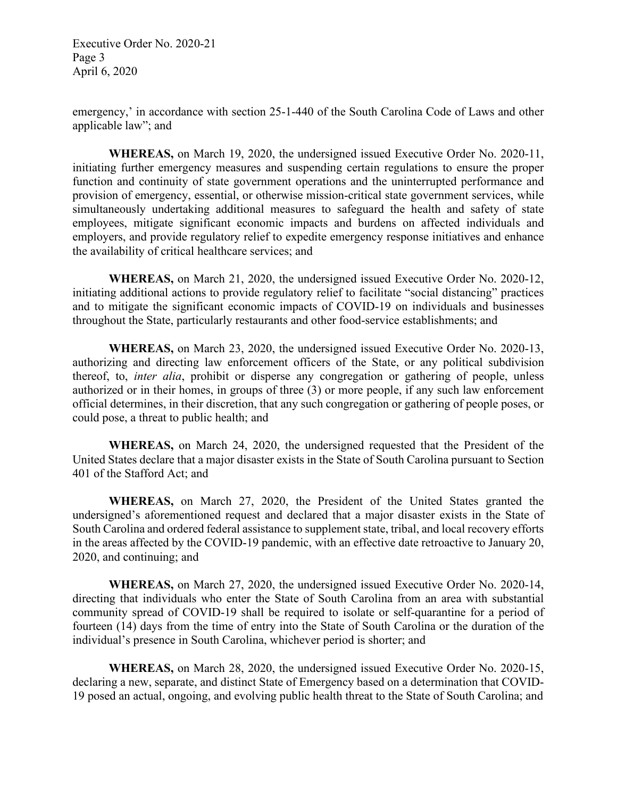Executive Order No. 2020-21 Page 3 April 6, 2020

emergency,' in accordance with section 25-1-440 of the South Carolina Code of Laws and other applicable law"; and

**WHEREAS,** on March 19, 2020, the undersigned issued Executive Order No. 2020-11, initiating further emergency measures and suspending certain regulations to ensure the proper function and continuity of state government operations and the uninterrupted performance and provision of emergency, essential, or otherwise mission-critical state government services, while simultaneously undertaking additional measures to safeguard the health and safety of state employees, mitigate significant economic impacts and burdens on affected individuals and employers, and provide regulatory relief to expedite emergency response initiatives and enhance the availability of critical healthcare services; and

**WHEREAS,** on March 21, 2020, the undersigned issued Executive Order No. 2020-12, initiating additional actions to provide regulatory relief to facilitate "social distancing" practices and to mitigate the significant economic impacts of COVID-19 on individuals and businesses throughout the State, particularly restaurants and other food-service establishments; and

**WHEREAS,** on March 23, 2020, the undersigned issued Executive Order No. 2020-13, authorizing and directing law enforcement officers of the State, or any political subdivision thereof, to, *inter alia*, prohibit or disperse any congregation or gathering of people, unless authorized or in their homes, in groups of three (3) or more people, if any such law enforcement official determines, in their discretion, that any such congregation or gathering of people poses, or could pose, a threat to public health; and

**WHEREAS,** on March 24, 2020, the undersigned requested that the President of the United States declare that a major disaster exists in the State of South Carolina pursuant to Section 401 of the Stafford Act; and

**WHEREAS,** on March 27, 2020, the President of the United States granted the undersigned's aforementioned request and declared that a major disaster exists in the State of South Carolina and ordered federal assistance to supplement state, tribal, and local recovery efforts in the areas affected by the COVID-19 pandemic, with an effective date retroactive to January 20, 2020, and continuing; and

**WHEREAS,** on March 27, 2020, the undersigned issued Executive Order No. 2020-14, directing that individuals who enter the State of South Carolina from an area with substantial community spread of COVID-19 shall be required to isolate or self-quarantine for a period of fourteen (14) days from the time of entry into the State of South Carolina or the duration of the individual's presence in South Carolina, whichever period is shorter; and

**WHEREAS,** on March 28, 2020, the undersigned issued Executive Order No. 2020-15, declaring a new, separate, and distinct State of Emergency based on a determination that COVID-19 posed an actual, ongoing, and evolving public health threat to the State of South Carolina; and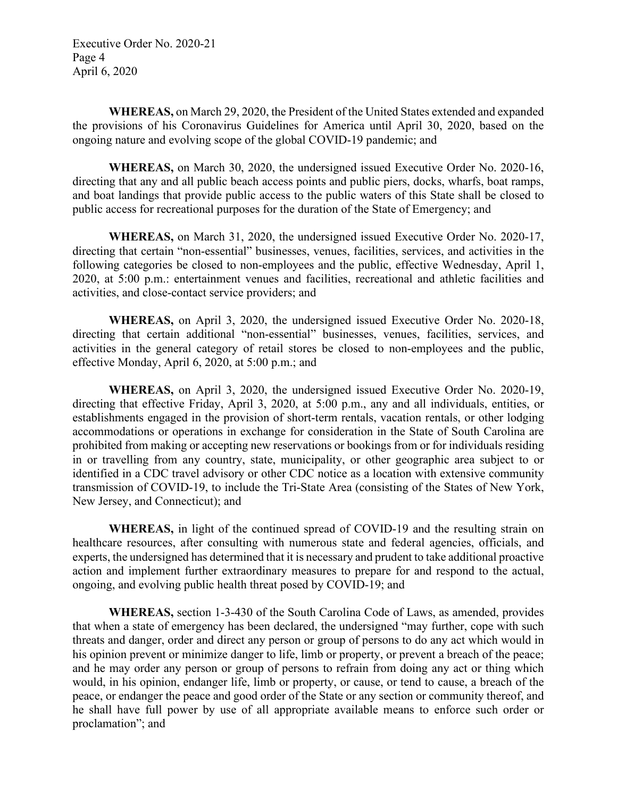Executive Order No. 2020-21 Page 4 April 6, 2020

**WHEREAS,** on March 29, 2020, the President of the United States extended and expanded the provisions of his Coronavirus Guidelines for America until April 30, 2020, based on the ongoing nature and evolving scope of the global COVID-19 pandemic; and

**WHEREAS,** on March 30, 2020, the undersigned issued Executive Order No. 2020-16, directing that any and all public beach access points and public piers, docks, wharfs, boat ramps, and boat landings that provide public access to the public waters of this State shall be closed to public access for recreational purposes for the duration of the State of Emergency; and

**WHEREAS,** on March 31, 2020, the undersigned issued Executive Order No. 2020-17, directing that certain "non-essential" businesses, venues, facilities, services, and activities in the following categories be closed to non-employees and the public, effective Wednesday, April 1, 2020, at 5:00 p.m.: entertainment venues and facilities, recreational and athletic facilities and activities, and close-contact service providers; and

**WHEREAS,** on April 3, 2020, the undersigned issued Executive Order No. 2020-18, directing that certain additional "non-essential" businesses, venues, facilities, services, and activities in the general category of retail stores be closed to non-employees and the public, effective Monday, April 6, 2020, at 5:00 p.m.; and

**WHEREAS,** on April 3, 2020, the undersigned issued Executive Order No. 2020-19, directing that effective Friday, April 3, 2020, at 5:00 p.m., any and all individuals, entities, or establishments engaged in the provision of short-term rentals, vacation rentals, or other lodging accommodations or operations in exchange for consideration in the State of South Carolina are prohibited from making or accepting new reservations or bookings from or for individuals residing in or travelling from any country, state, municipality, or other geographic area subject to or identified in a CDC travel advisory or other CDC notice as a location with extensive community transmission of COVID-19, to include the Tri-State Area (consisting of the States of New York, New Jersey, and Connecticut); and

**WHEREAS,** in light of the continued spread of COVID-19 and the resulting strain on healthcare resources, after consulting with numerous state and federal agencies, officials, and experts, the undersigned has determined that it is necessary and prudent to take additional proactive action and implement further extraordinary measures to prepare for and respond to the actual, ongoing, and evolving public health threat posed by COVID-19; and

**WHEREAS,** section 1-3-430 of the South Carolina Code of Laws, as amended, provides that when a state of emergency has been declared, the undersigned "may further, cope with such threats and danger, order and direct any person or group of persons to do any act which would in his opinion prevent or minimize danger to life, limb or property, or prevent a breach of the peace; and he may order any person or group of persons to refrain from doing any act or thing which would, in his opinion, endanger life, limb or property, or cause, or tend to cause, a breach of the peace, or endanger the peace and good order of the State or any section or community thereof, and he shall have full power by use of all appropriate available means to enforce such order or proclamation"; and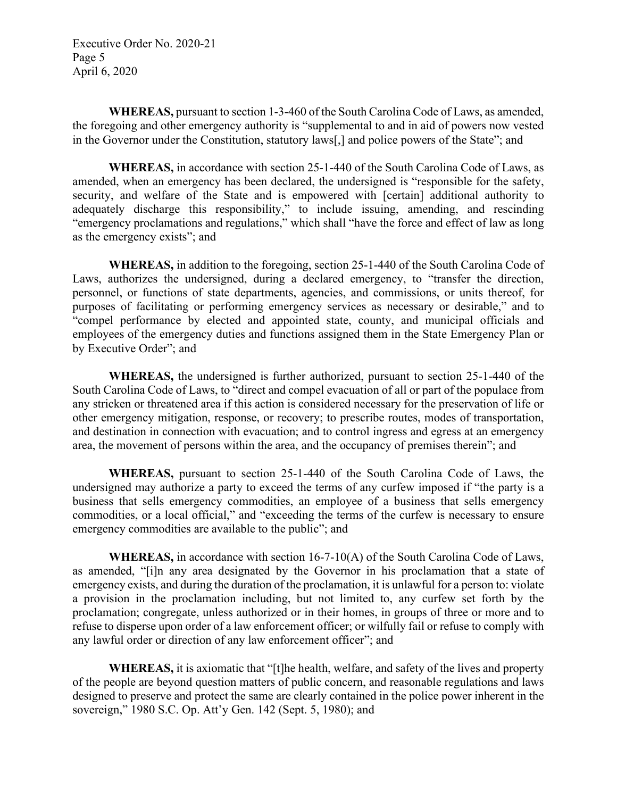Executive Order No. 2020-21 Page 5 April 6, 2020

**WHEREAS,** pursuant to section 1-3-460 of the South Carolina Code of Laws, as amended, the foregoing and other emergency authority is "supplemental to and in aid of powers now vested in the Governor under the Constitution, statutory laws[,] and police powers of the State"; and

**WHEREAS,** in accordance with section 25-1-440 of the South Carolina Code of Laws, as amended, when an emergency has been declared, the undersigned is "responsible for the safety, security, and welfare of the State and is empowered with [certain] additional authority to adequately discharge this responsibility," to include issuing, amending, and rescinding "emergency proclamations and regulations," which shall "have the force and effect of law as long as the emergency exists"; and

**WHEREAS,** in addition to the foregoing, section 25-1-440 of the South Carolina Code of Laws, authorizes the undersigned, during a declared emergency, to "transfer the direction, personnel, or functions of state departments, agencies, and commissions, or units thereof, for purposes of facilitating or performing emergency services as necessary or desirable," and to "compel performance by elected and appointed state, county, and municipal officials and employees of the emergency duties and functions assigned them in the State Emergency Plan or by Executive Order"; and

**WHEREAS,** the undersigned is further authorized, pursuant to section 25-1-440 of the South Carolina Code of Laws, to "direct and compel evacuation of all or part of the populace from any stricken or threatened area if this action is considered necessary for the preservation of life or other emergency mitigation, response, or recovery; to prescribe routes, modes of transportation, and destination in connection with evacuation; and to control ingress and egress at an emergency area, the movement of persons within the area, and the occupancy of premises therein"; and

**WHEREAS,** pursuant to section 25-1-440 of the South Carolina Code of Laws, the undersigned may authorize a party to exceed the terms of any curfew imposed if "the party is a business that sells emergency commodities, an employee of a business that sells emergency commodities, or a local official," and "exceeding the terms of the curfew is necessary to ensure emergency commodities are available to the public"; and

**WHEREAS,** in accordance with section 16-7-10(A) of the South Carolina Code of Laws, as amended, "[i]n any area designated by the Governor in his proclamation that a state of emergency exists, and during the duration of the proclamation, it is unlawful for a person to: violate a provision in the proclamation including, but not limited to, any curfew set forth by the proclamation; congregate, unless authorized or in their homes, in groups of three or more and to refuse to disperse upon order of a law enforcement officer; or wilfully fail or refuse to comply with any lawful order or direction of any law enforcement officer"; and

**WHEREAS,** it is axiomatic that "[t]he health, welfare, and safety of the lives and property of the people are beyond question matters of public concern, and reasonable regulations and laws designed to preserve and protect the same are clearly contained in the police power inherent in the sovereign," 1980 S.C. Op. Att'y Gen. 142 (Sept. 5, 1980); and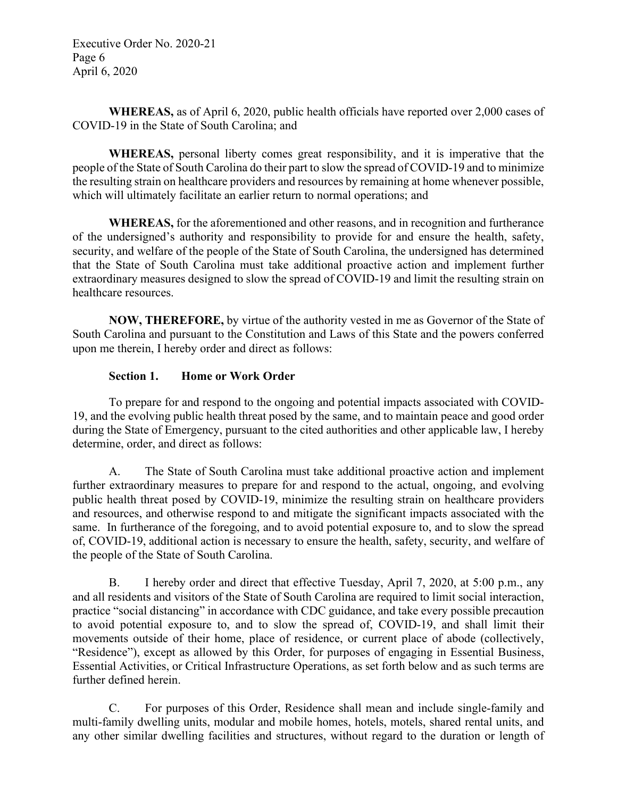Executive Order No. 2020-21 Page 6 April 6, 2020

**WHEREAS,** as of April 6, 2020, public health officials have reported over 2,000 cases of COVID-19 in the State of South Carolina; and

**WHEREAS,** personal liberty comes great responsibility, and it is imperative that the people of the State of South Carolina do their part to slow the spread of COVID-19 and to minimize the resulting strain on healthcare providers and resources by remaining at home whenever possible, which will ultimately facilitate an earlier return to normal operations; and

**WHEREAS,** for the aforementioned and other reasons, and in recognition and furtherance of the undersigned's authority and responsibility to provide for and ensure the health, safety, security, and welfare of the people of the State of South Carolina, the undersigned has determined that the State of South Carolina must take additional proactive action and implement further extraordinary measures designed to slow the spread of COVID-19 and limit the resulting strain on healthcare resources.

**NOW, THEREFORE,** by virtue of the authority vested in me as Governor of the State of South Carolina and pursuant to the Constitution and Laws of this State and the powers conferred upon me therein, I hereby order and direct as follows:

#### **Section 1. Home or Work Order**

To prepare for and respond to the ongoing and potential impacts associated with COVID-19, and the evolving public health threat posed by the same, and to maintain peace and good order during the State of Emergency, pursuant to the cited authorities and other applicable law, I hereby determine, order, and direct as follows:

A. The State of South Carolina must take additional proactive action and implement further extraordinary measures to prepare for and respond to the actual, ongoing, and evolving public health threat posed by COVID-19, minimize the resulting strain on healthcare providers and resources, and otherwise respond to and mitigate the significant impacts associated with the same. In furtherance of the foregoing, and to avoid potential exposure to, and to slow the spread of, COVID-19, additional action is necessary to ensure the health, safety, security, and welfare of the people of the State of South Carolina.

B. I hereby order and direct that effective Tuesday, April 7, 2020, at 5:00 p.m., any and all residents and visitors of the State of South Carolina are required to limit social interaction, practice "social distancing" in accordance with CDC guidance, and take every possible precaution to avoid potential exposure to, and to slow the spread of, COVID-19, and shall limit their movements outside of their home, place of residence, or current place of abode (collectively, "Residence"), except as allowed by this Order, for purposes of engaging in Essential Business, Essential Activities, or Critical Infrastructure Operations, as set forth below and as such terms are further defined herein.

C. For purposes of this Order, Residence shall mean and include single-family and multi-family dwelling units, modular and mobile homes, hotels, motels, shared rental units, and any other similar dwelling facilities and structures, without regard to the duration or length of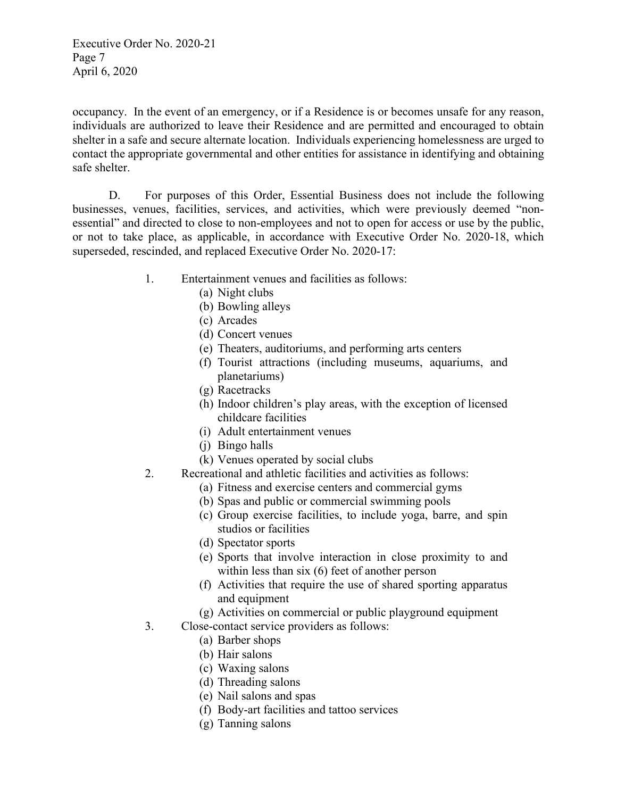Executive Order No. 2020-21 Page 7 April 6, 2020

occupancy. In the event of an emergency, or if a Residence is or becomes unsafe for any reason, individuals are authorized to leave their Residence and are permitted and encouraged to obtain shelter in a safe and secure alternate location. Individuals experiencing homelessness are urged to contact the appropriate governmental and other entities for assistance in identifying and obtaining safe shelter.

D. For purposes of this Order, Essential Business does not include the following businesses, venues, facilities, services, and activities, which were previously deemed "nonessential" and directed to close to non-employees and not to open for access or use by the public, or not to take place, as applicable, in accordance with Executive Order No. 2020-18, which superseded, rescinded, and replaced Executive Order No. 2020-17:

- 1. Entertainment venues and facilities as follows:
	- (a) Night clubs
	- (b) Bowling alleys
	- (c) Arcades
	- (d) Concert venues
	- (e) Theaters, auditoriums, and performing arts centers
	- (f) Tourist attractions (including museums, aquariums, and planetariums)
	- (g) Racetracks
	- (h) Indoor children's play areas, with the exception of licensed childcare facilities
	- (i) Adult entertainment venues
	- (j) Bingo halls
	- (k) Venues operated by social clubs
- 2. Recreational and athletic facilities and activities as follows:
	- (a) Fitness and exercise centers and commercial gyms
	- (b) Spas and public or commercial swimming pools
	- (c) Group exercise facilities, to include yoga, barre, and spin studios or facilities
	- (d) Spectator sports
	- (e) Sports that involve interaction in close proximity to and within less than six (6) feet of another person
	- (f) Activities that require the use of shared sporting apparatus and equipment
	- (g) Activities on commercial or public playground equipment
- 3. Close-contact service providers as follows:
	- (a) Barber shops
	- (b) Hair salons
	- (c) Waxing salons
	- (d) Threading salons
	- (e) Nail salons and spas
	- (f) Body-art facilities and tattoo services
	- (g) Tanning salons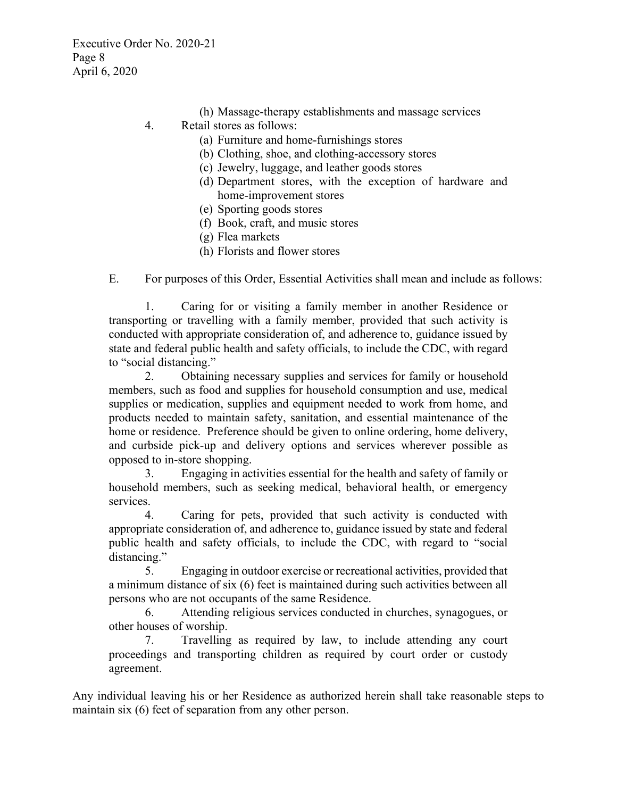- (h) Massage-therapy establishments and massage services
- 4. Retail stores as follows:
	- (a) Furniture and home-furnishings stores
	- (b) Clothing, shoe, and clothing-accessory stores
	- (c) Jewelry, luggage, and leather goods stores
	- (d) Department stores, with the exception of hardware and home-improvement stores
	- (e) Sporting goods stores
	- (f) Book, craft, and music stores
	- (g) Flea markets
	- (h) Florists and flower stores

E. For purposes of this Order, Essential Activities shall mean and include as follows:

1. Caring for or visiting a family member in another Residence or transporting or travelling with a family member, provided that such activity is conducted with appropriate consideration of, and adherence to, guidance issued by state and federal public health and safety officials, to include the CDC, with regard to "social distancing."

2. Obtaining necessary supplies and services for family or household members, such as food and supplies for household consumption and use, medical supplies or medication, supplies and equipment needed to work from home, and products needed to maintain safety, sanitation, and essential maintenance of the home or residence. Preference should be given to online ordering, home delivery, and curbside pick-up and delivery options and services wherever possible as opposed to in-store shopping.

3. Engaging in activities essential for the health and safety of family or household members, such as seeking medical, behavioral health, or emergency services.

4. Caring for pets, provided that such activity is conducted with appropriate consideration of, and adherence to, guidance issued by state and federal public health and safety officials, to include the CDC, with regard to "social distancing."

5. Engaging in outdoor exercise or recreational activities, provided that a minimum distance of six (6) feet is maintained during such activities between all persons who are not occupants of the same Residence.

6. Attending religious services conducted in churches, synagogues, or other houses of worship.

7. Travelling as required by law, to include attending any court proceedings and transporting children as required by court order or custody agreement.

Any individual leaving his or her Residence as authorized herein shall take reasonable steps to maintain six (6) feet of separation from any other person.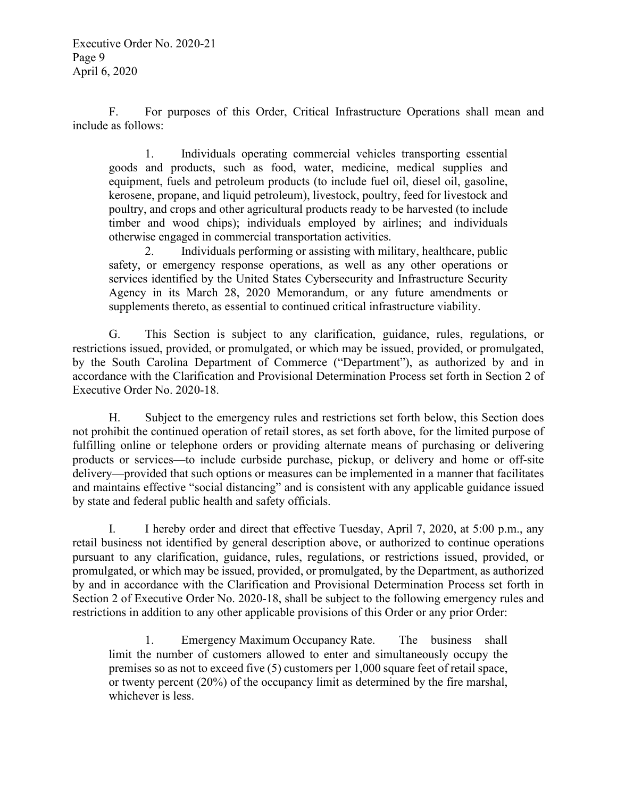F. For purposes of this Order, Critical Infrastructure Operations shall mean and include as follows:

1. Individuals operating commercial vehicles transporting essential goods and products, such as food, water, medicine, medical supplies and equipment, fuels and petroleum products (to include fuel oil, diesel oil, gasoline, kerosene, propane, and liquid petroleum), livestock, poultry, feed for livestock and poultry, and crops and other agricultural products ready to be harvested (to include timber and wood chips); individuals employed by airlines; and individuals otherwise engaged in commercial transportation activities.

2. Individuals performing or assisting with military, healthcare, public safety, or emergency response operations, as well as any other operations or services identified by the United States Cybersecurity and Infrastructure Security Agency in its March 28, 2020 Memorandum, or any future amendments or supplements thereto, as essential to continued critical infrastructure viability.

G. This Section is subject to any clarification, guidance, rules, regulations, or restrictions issued, provided, or promulgated, or which may be issued, provided, or promulgated, by the South Carolina Department of Commerce ("Department"), as authorized by and in accordance with the Clarification and Provisional Determination Process set forth in Section 2 of Executive Order No. 2020-18.

H. Subject to the emergency rules and restrictions set forth below, this Section does not prohibit the continued operation of retail stores, as set forth above, for the limited purpose of fulfilling online or telephone orders or providing alternate means of purchasing or delivering products or services—to include curbside purchase, pickup, or delivery and home or off-site delivery—provided that such options or measures can be implemented in a manner that facilitates and maintains effective "social distancing" and is consistent with any applicable guidance issued by state and federal public health and safety officials.

I. I hereby order and direct that effective Tuesday, April 7, 2020, at 5:00 p.m., any retail business not identified by general description above, or authorized to continue operations pursuant to any clarification, guidance, rules, regulations, or restrictions issued, provided, or promulgated, or which may be issued, provided, or promulgated, by the Department, as authorized by and in accordance with the Clarification and Provisional Determination Process set forth in Section 2 of Executive Order No. 2020-18, shall be subject to the following emergency rules and restrictions in addition to any other applicable provisions of this Order or any prior Order:

1. Emergency Maximum Occupancy Rate. The business shall limit the number of customers allowed to enter and simultaneously occupy the premises so as not to exceed five (5) customers per 1,000 square feet of retail space, or twenty percent (20%) of the occupancy limit as determined by the fire marshal, whichever is less.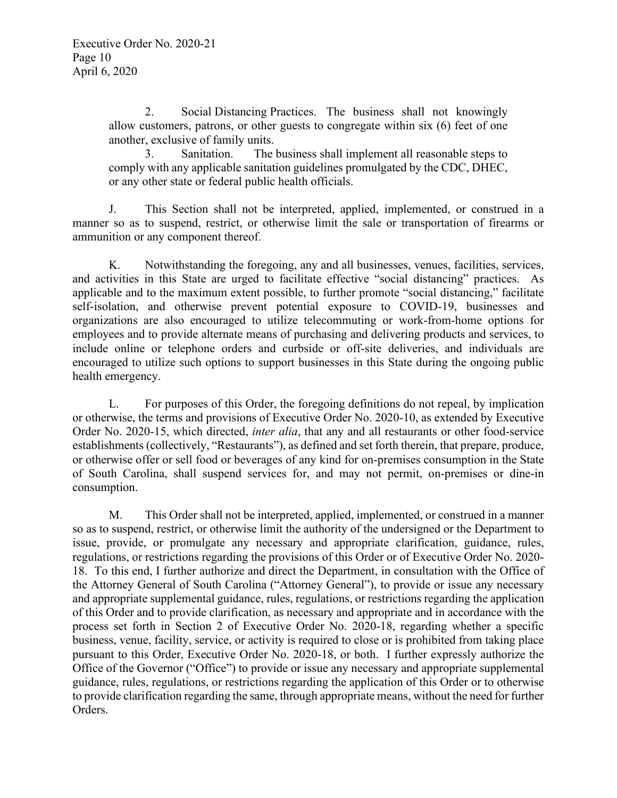2. Social Distancing Practices. The business shall not knowingly allow customers, patrons, or other guests to congregate within six (6) feet of one another, exclusive of family units.

3. Sanitation. The business shall implement all reasonable steps to comply with any applicable sanitation guidelines promulgated by the CDC, DHEC, or any other state or federal public health officials.

J. This Section shall not be interpreted, applied, implemented, or construed in a manner so as to suspend, restrict, or otherwise limit the sale or transportation of firearms or ammunition or any component thereof.

K. Notwithstanding the foregoing, any and all businesses, venues, facilities, services, and activities in this State are urged to facilitate effective "social distancing" practices. As applicable and to the maximum extent possible, to further promote "social distancing," facilitate self-isolation, and otherwise prevent potential exposure to COVID-19, businesses and organizations are also encouraged to utilize telecommuting or work-from-home options for employees and to provide alternate means of purchasing and delivering products and services, to include online or telephone orders and curbside or off-site deliveries, and individuals are encouraged to utilize such options to support businesses in this State during the ongoing public health emergency.

L. For purposes of this Order, the foregoing definitions do not repeal, by implication or otherwise, the terms and provisions of Executive Order No. 2020-10, as extended by Executive Order No. 2020-15, which directed, *inter alia*, that any and all restaurants or other food-service establishments (collectively, "Restaurants"), as defined and set forth therein, that prepare, produce, or otherwise offer or sell food or beverages of any kind for on-premises consumption in the State of South Carolina, shall suspend services for, and may not permit, on-premises or dine-in consumption.

M. This Order shall not be interpreted, applied, implemented, or construed in a manner so as to suspend, restrict, or otherwise limit the authority of the undersigned or the Department to issue, provide, or promulgate any necessary and appropriate clarification, guidance, rules, regulations, or restrictions regarding the provisions of this Order or of Executive Order No. 2020- 18. To this end, I further authorize and direct the Department, in consultation with the Office of the Attorney General of South Carolina ("Attorney General"), to provide or issue any necessary and appropriate supplemental guidance, rules, regulations, or restrictions regarding the application of this Order and to provide clarification, as necessary and appropriate and in accordance with the process set forth in Section 2 of Executive Order No. 2020-18, regarding whether a specific business, venue, facility, service, or activity is required to close or is prohibited from taking place pursuant to this Order, Executive Order No. 2020-18, or both. I further expressly authorize the Office of the Governor ("Office") to provide or issue any necessary and appropriate supplemental guidance, rules, regulations, or restrictions regarding the application of this Order or to otherwise to provide clarification regarding the same, through appropriate means, without the need for further Orders.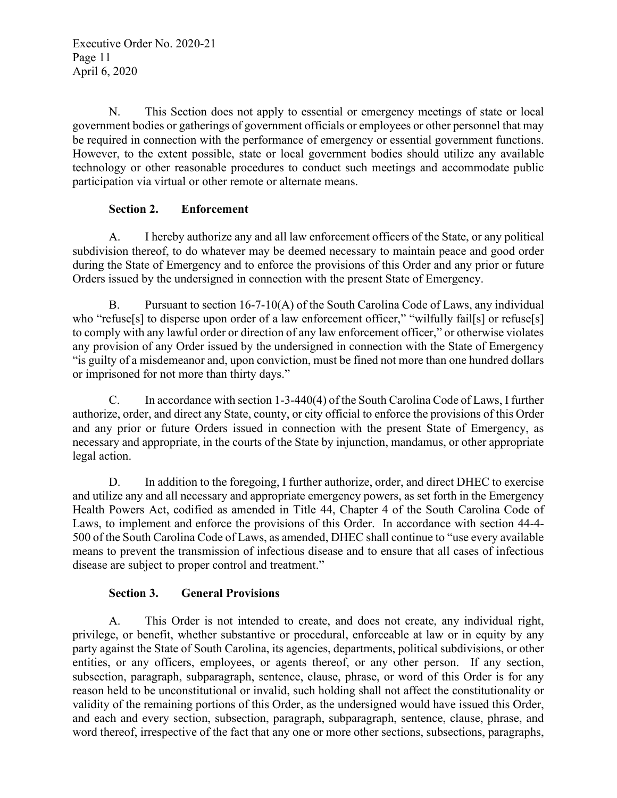N. This Section does not apply to essential or emergency meetings of state or local government bodies or gatherings of government officials or employees or other personnel that may be required in connection with the performance of emergency or essential government functions. However, to the extent possible, state or local government bodies should utilize any available technology or other reasonable procedures to conduct such meetings and accommodate public participation via virtual or other remote or alternate means.

### **Section 2. Enforcement**

A. I hereby authorize any and all law enforcement officers of the State, or any political subdivision thereof, to do whatever may be deemed necessary to maintain peace and good order during the State of Emergency and to enforce the provisions of this Order and any prior or future Orders issued by the undersigned in connection with the present State of Emergency.

B. Pursuant to section 16-7-10(A) of the South Carolina Code of Laws, any individual who "refuse[s] to disperse upon order of a law enforcement officer," "wilfully fail[s] or refuse[s] to comply with any lawful order or direction of any law enforcement officer," or otherwise violates any provision of any Order issued by the undersigned in connection with the State of Emergency "is guilty of a misdemeanor and, upon conviction, must be fined not more than one hundred dollars or imprisoned for not more than thirty days."

C. In accordance with section 1-3-440(4) of the South Carolina Code of Laws, I further authorize, order, and direct any State, county, or city official to enforce the provisions of this Order and any prior or future Orders issued in connection with the present State of Emergency, as necessary and appropriate, in the courts of the State by injunction, mandamus, or other appropriate legal action.

D. In addition to the foregoing, I further authorize, order, and direct DHEC to exercise and utilize any and all necessary and appropriate emergency powers, as set forth in the Emergency Health Powers Act, codified as amended in Title 44, Chapter 4 of the South Carolina Code of Laws, to implement and enforce the provisions of this Order. In accordance with section 44-4- 500 of the South Carolina Code of Laws, as amended, DHEC shall continue to "use every available means to prevent the transmission of infectious disease and to ensure that all cases of infectious disease are subject to proper control and treatment."

## **Section 3. General Provisions**

A. This Order is not intended to create, and does not create, any individual right, privilege, or benefit, whether substantive or procedural, enforceable at law or in equity by any party against the State of South Carolina, its agencies, departments, political subdivisions, or other entities, or any officers, employees, or agents thereof, or any other person. If any section, subsection, paragraph, subparagraph, sentence, clause, phrase, or word of this Order is for any reason held to be unconstitutional or invalid, such holding shall not affect the constitutionality or validity of the remaining portions of this Order, as the undersigned would have issued this Order, and each and every section, subsection, paragraph, subparagraph, sentence, clause, phrase, and word thereof, irrespective of the fact that any one or more other sections, subsections, paragraphs,